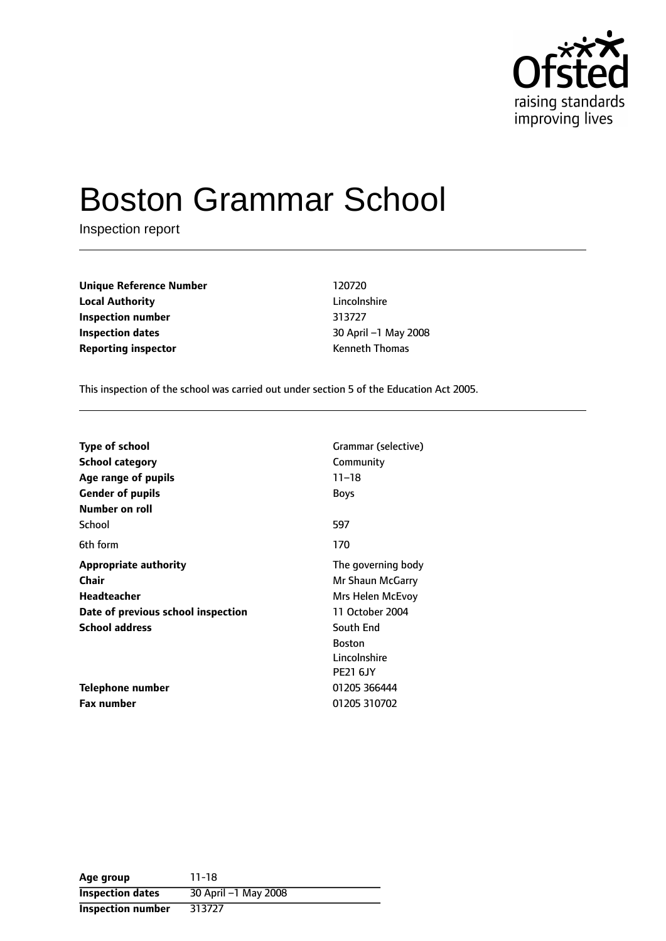

# Boston Grammar School

Inspection report

| <b>Unique Reference Number</b> | 120720                |  |
|--------------------------------|-----------------------|--|
| <b>Local Authority</b>         | Lincolnshire          |  |
| Inspection number              | 313727                |  |
| <b>Inspection dates</b>        | 30 April -1 May 2     |  |
| <b>Reporting inspector</b>     | <b>Kenneth Thomas</b> |  |

**Unique Reference Number** 120720 **Lincolnshire Inspection number** 313727 **30 April -1 May 2008** 

This inspection of the school was carried out under section 5 of the Education Act 2005.

| <b>Type of school</b><br><b>School category</b><br>Age range of pupils | Grammar (selective)<br>Community<br>$11 - 18$ |
|------------------------------------------------------------------------|-----------------------------------------------|
| <b>Gender of pupils</b>                                                | <b>Boys</b>                                   |
| Number on roll                                                         |                                               |
| School                                                                 | 597                                           |
| 6th form                                                               | 170                                           |
| <b>Appropriate authority</b>                                           | The governing body                            |
| Chair                                                                  | Mr Shaun McGarry                              |
| <b>Headteacher</b>                                                     | Mrs Helen McEvoy                              |
| Date of previous school inspection                                     | 11 October 2004                               |
| <b>School address</b>                                                  | South End                                     |
|                                                                        | <b>Boston</b>                                 |
|                                                                        | Lincolnshire                                  |
|                                                                        | <b>PE21 6JY</b>                               |
| Telephone number                                                       | 01205 366444                                  |
| Fax number                                                             | 01205 310702                                  |

| Age group               | 11-18                |
|-------------------------|----------------------|
| <b>Inspection dates</b> | 30 April -1 May 2008 |
| Inspection number       | 313727               |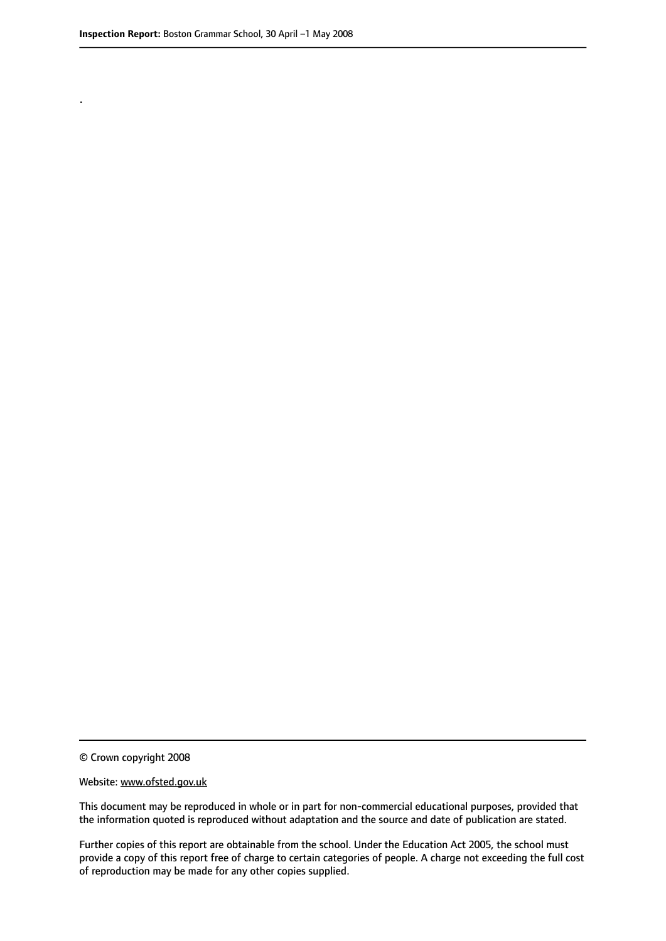.

© Crown copyright 2008

#### Website: www.ofsted.gov.uk

This document may be reproduced in whole or in part for non-commercial educational purposes, provided that the information quoted is reproduced without adaptation and the source and date of publication are stated.

Further copies of this report are obtainable from the school. Under the Education Act 2005, the school must provide a copy of this report free of charge to certain categories of people. A charge not exceeding the full cost of reproduction may be made for any other copies supplied.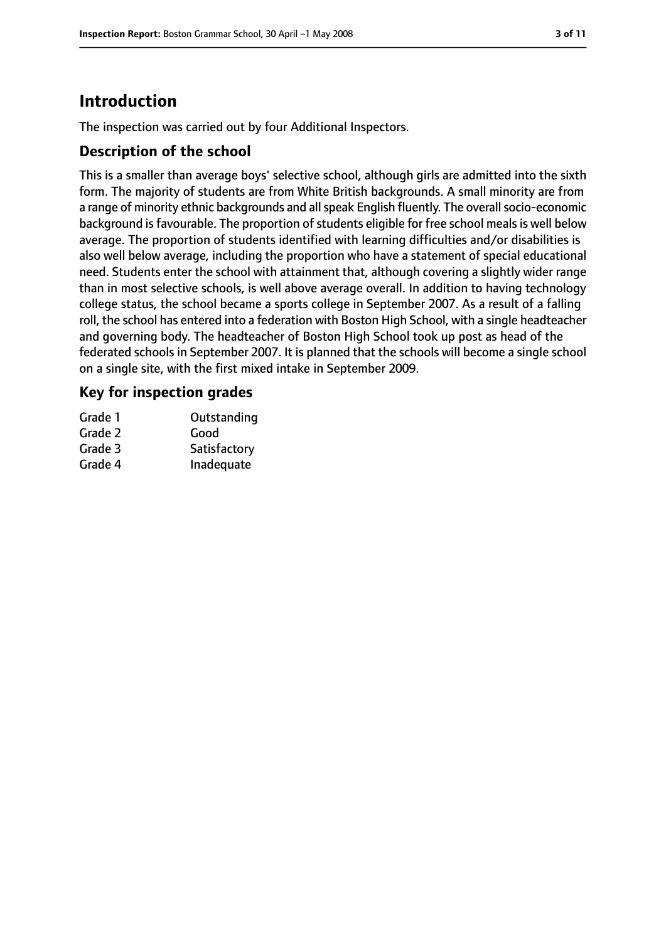# **Introduction**

The inspection was carried out by four Additional Inspectors.

## **Description of the school**

This is a smaller than average boys' selective school, although girls are admitted into the sixth form. The majority of students are from White British backgrounds. A small minority are from a range of minority ethnic backgrounds and all speak English fluently. The overall socio-economic background is favourable. The proportion of students eligible for free school meals is well below average. The proportion of students identified with learning difficulties and/or disabilities is also well below average, including the proportion who have a statement of special educational need. Students enter the school with attainment that, although covering a slightly wider range than in most selective schools, is well above average overall. In addition to having technology college status, the school became a sports college in September 2007. As a result of a falling roll, the school has entered into a federation with Boston High School, with a single headteacher and governing body. The headteacher of Boston High School took up post as head of the federated schools in September 2007. It is planned that the schools will become a single school on a single site, with the first mixed intake in September 2009.

## **Key for inspection grades**

| Grade 1 | Outstanding  |
|---------|--------------|
| Grade 2 | Good         |
| Grade 3 | Satisfactory |
| Grade 4 | Inadequate   |
|         |              |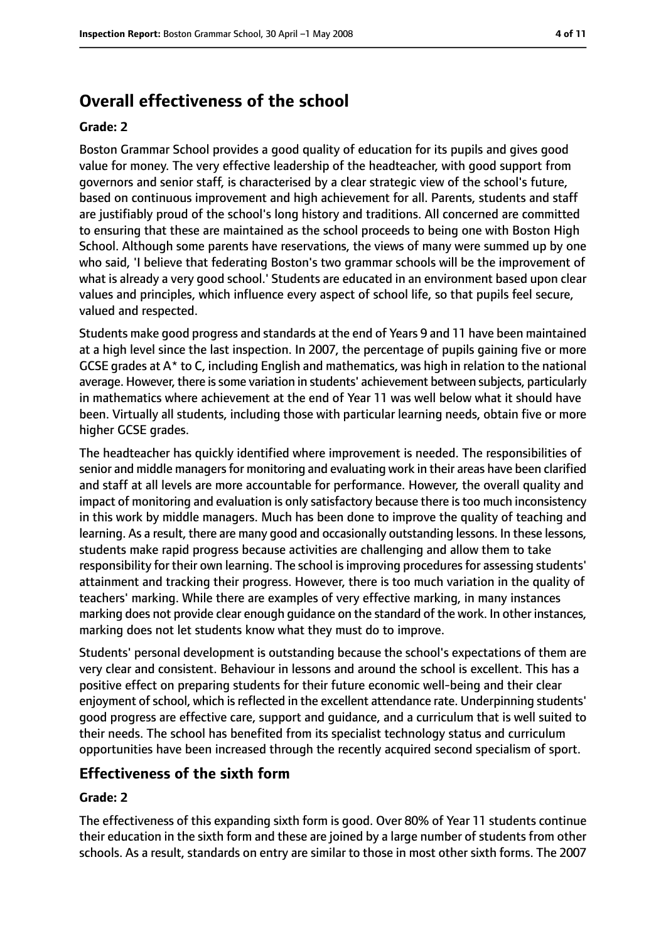# **Overall effectiveness of the school**

#### **Grade: 2**

Boston Grammar School provides a good quality of education for its pupils and gives good value for money. The very effective leadership of the headteacher, with good support from governors and senior staff, is characterised by a clear strategic view of the school's future, based on continuous improvement and high achievement for all. Parents, students and staff are justifiably proud of the school's long history and traditions. All concerned are committed to ensuring that these are maintained as the school proceeds to being one with Boston High School. Although some parents have reservations, the views of many were summed up by one who said, 'I believe that federating Boston's two grammar schools will be the improvement of what is already a very good school.' Students are educated in an environment based upon clear values and principles, which influence every aspect of school life, so that pupils feel secure, valued and respected.

Students make good progress and standards at the end of Years 9 and 11 have been maintained at a high level since the last inspection. In 2007, the percentage of pupils gaining five or more GCSE grades at A\* to C, including English and mathematics, was high in relation to the national average. However, there is some variation in students' achievement between subjects, particularly in mathematics where achievement at the end of Year 11 was well below what it should have been. Virtually all students, including those with particular learning needs, obtain five or more higher GCSE grades.

The headteacher has quickly identified where improvement is needed. The responsibilities of senior and middle managersfor monitoring and evaluating work in their areas have been clarified and staff at all levels are more accountable for performance. However, the overall quality and impact of monitoring and evaluation is only satisfactory because there is too much inconsistency in this work by middle managers. Much has been done to improve the quality of teaching and learning. As a result, there are many good and occasionally outstanding lessons. In these lessons, students make rapid progress because activities are challenging and allow them to take responsibility for their own learning. The school is improving procedures for assessing students' attainment and tracking their progress. However, there is too much variation in the quality of teachers' marking. While there are examples of very effective marking, in many instances marking does not provide clear enough guidance on the standard of the work. In other instances, marking does not let students know what they must do to improve.

Students' personal development is outstanding because the school's expectations of them are very clear and consistent. Behaviour in lessons and around the school is excellent. This has a positive effect on preparing students for their future economic well-being and their clear enjoyment of school, which is reflected in the excellent attendance rate. Underpinning students' good progress are effective care, support and guidance, and a curriculum that is well suited to their needs. The school has benefited from its specialist technology status and curriculum opportunities have been increased through the recently acquired second specialism of sport.

## **Effectiveness of the sixth form**

#### **Grade: 2**

The effectiveness of this expanding sixth form is good. Over 80% of Year 11 students continue their education in the sixth form and these are joined by a large number of students from other schools. As a result, standards on entry are similar to those in most other sixth forms. The 2007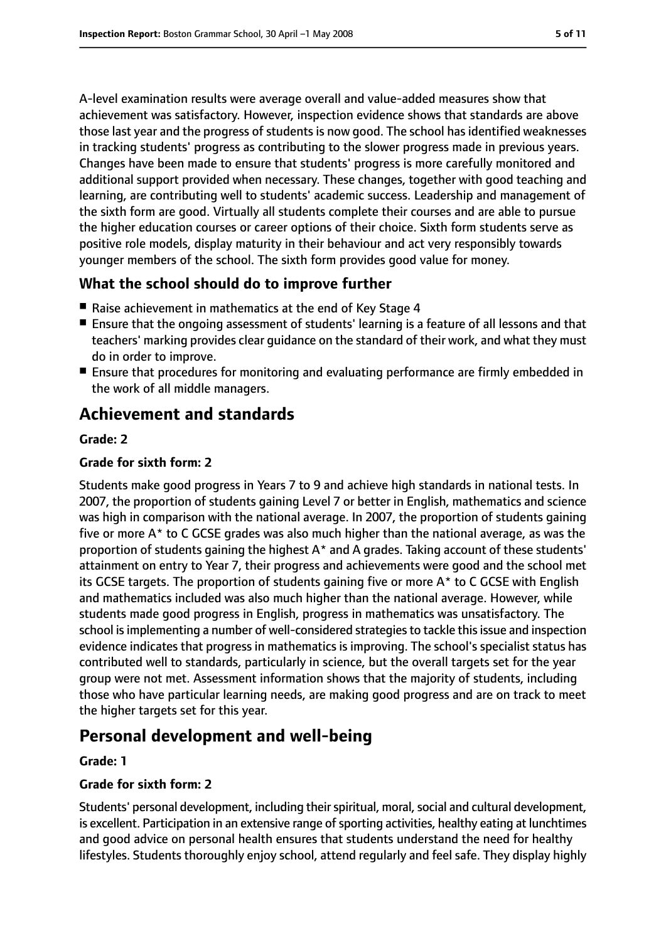A-level examination results were average overall and value-added measures show that achievement was satisfactory. However, inspection evidence shows that standards are above those last year and the progress of students is now good. The school has identified weaknesses in tracking students' progress as contributing to the slower progress made in previous years. Changes have been made to ensure that students' progress is more carefully monitored and additional support provided when necessary. These changes, together with good teaching and learning, are contributing well to students' academic success. Leadership and management of the sixth form are good. Virtually all students complete their courses and are able to pursue the higher education courses or career options of their choice. Sixth form students serve as positive role models, display maturity in their behaviour and act very responsibly towards younger members of the school. The sixth form provides good value for money.

## **What the school should do to improve further**

- Raise achievement in mathematics at the end of Key Stage 4
- Ensure that the ongoing assessment of students' learning is a feature of all lessons and that teachers' marking provides clear guidance on the standard of their work, and what they must do in order to improve.
- Ensure that procedures for monitoring and evaluating performance are firmly embedded in the work of all middle managers.

# **Achievement and standards**

#### **Grade: 2**

#### **Grade for sixth form: 2**

Students make good progress in Years 7 to 9 and achieve high standards in national tests. In 2007, the proportion of students gaining Level 7 or better in English, mathematics and science was high in comparison with the national average. In 2007, the proportion of students gaining five or more A\* to C GCSE grades was also much higher than the national average, as was the proportion of students gaining the highest A\* and A grades. Taking account of these students' attainment on entry to Year 7, their progress and achievements were good and the school met its GCSE targets. The proportion of students gaining five or more A\* to C GCSE with English and mathematics included was also much higher than the national average. However, while students made good progress in English, progress in mathematics was unsatisfactory. The school is implementing a number of well-considered strategies to tackle this issue and inspection evidence indicates that progress in mathematics is improving. The school's specialist status has contributed well to standards, particularly in science, but the overall targets set for the year group were not met. Assessment information shows that the majority of students, including those who have particular learning needs, are making good progress and are on track to meet the higher targets set for this year.

# **Personal development and well-being**

#### **Grade: 1**

#### **Grade for sixth form: 2**

Students' personal development, including their spiritual, moral, social and cultural development, is excellent. Participation in an extensive range of sporting activities, healthy eating at lunchtimes and good advice on personal health ensures that students understand the need for healthy lifestyles. Students thoroughly enjoy school, attend regularly and feel safe. They display highly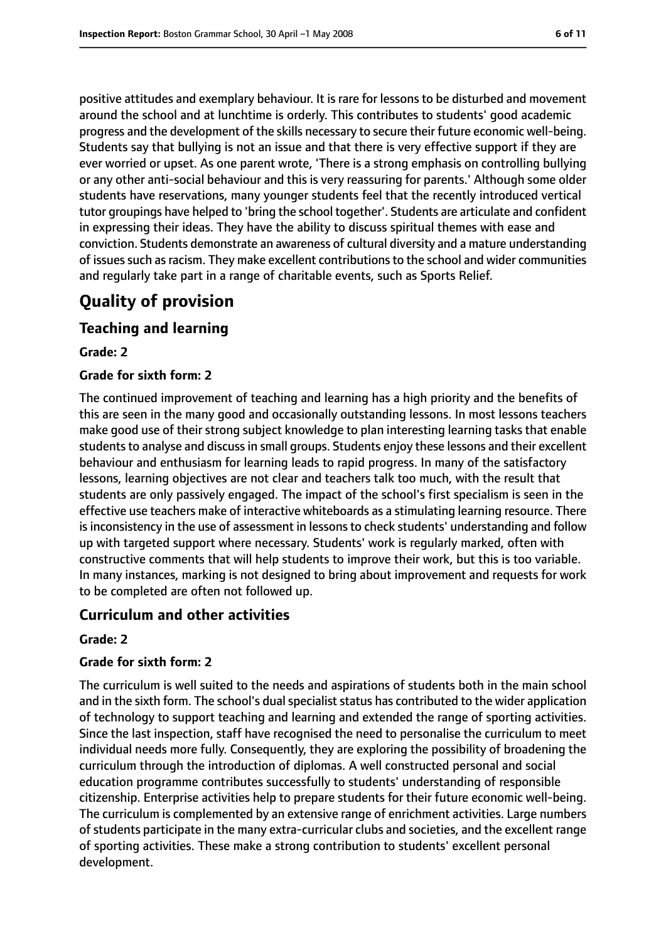positive attitudes and exemplary behaviour. It is rare for lessons to be disturbed and movement around the school and at lunchtime is orderly. This contributes to students' good academic progress and the development of the skills necessary to secure their future economic well-being. Students say that bullying is not an issue and that there is very effective support if they are ever worried or upset. As one parent wrote, 'There is a strong emphasis on controlling bullying or any other anti-social behaviour and this is very reassuring for parents.' Although some older students have reservations, many younger students feel that the recently introduced vertical tutor groupings have helped to 'bring the school together'. Students are articulate and confident in expressing their ideas. They have the ability to discuss spiritual themes with ease and conviction. Students demonstrate an awareness of cultural diversity and a mature understanding of issuessuch asracism. They make excellent contributionsto the school and wider communities and regularly take part in a range of charitable events, such as Sports Relief.

# **Quality of provision**

# **Teaching and learning**

#### **Grade: 2**

#### **Grade for sixth form: 2**

The continued improvement of teaching and learning has a high priority and the benefits of this are seen in the many good and occasionally outstanding lessons. In most lessons teachers make good use of their strong subject knowledge to plan interesting learning tasks that enable students to analyse and discuss in small groups. Students enjoy these lessons and their excellent behaviour and enthusiasm for learning leads to rapid progress. In many of the satisfactory lessons, learning objectives are not clear and teachers talk too much, with the result that students are only passively engaged. The impact of the school's first specialism is seen in the effective use teachers make of interactive whiteboards as a stimulating learning resource. There is inconsistency in the use of assessment in lessons to check students' understanding and follow up with targeted support where necessary. Students' work is regularly marked, often with constructive comments that will help students to improve their work, but this is too variable. In many instances, marking is not designed to bring about improvement and requests for work to be completed are often not followed up.

## **Curriculum and other activities**

#### **Grade: 2**

#### **Grade for sixth form: 2**

The curriculum is well suited to the needs and aspirations of students both in the main school and in the sixth form. The school's dual specialist status has contributed to the wider application of technology to support teaching and learning and extended the range of sporting activities. Since the last inspection, staff have recognised the need to personalise the curriculum to meet individual needs more fully. Consequently, they are exploring the possibility of broadening the curriculum through the introduction of diplomas. A well constructed personal and social education programme contributes successfully to students' understanding of responsible citizenship. Enterprise activities help to prepare students for their future economic well-being. The curriculum is complemented by an extensive range of enrichment activities. Large numbers of students participate in the many extra-curricular clubs and societies, and the excellent range of sporting activities. These make a strong contribution to students' excellent personal development.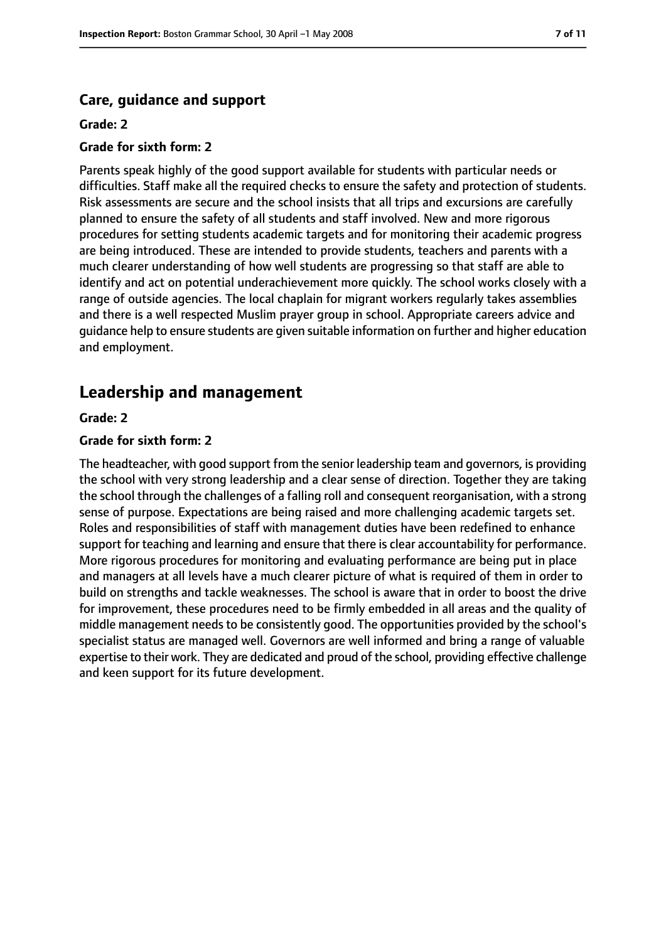#### **Care, guidance and support**

#### **Grade: 2**

#### **Grade for sixth form: 2**

Parents speak highly of the good support available for students with particular needs or difficulties. Staff make all the required checks to ensure the safety and protection of students. Risk assessments are secure and the school insists that all trips and excursions are carefully planned to ensure the safety of all students and staff involved. New and more rigorous procedures for setting students academic targets and for monitoring their academic progress are being introduced. These are intended to provide students, teachers and parents with a much clearer understanding of how well students are progressing so that staff are able to identify and act on potential underachievement more quickly. The school works closely with a range of outside agencies. The local chaplain for migrant workers regularly takes assemblies and there is a well respected Muslim prayer group in school. Appropriate careers advice and guidance help to ensure students are given suitable information on further and higher education and employment.

## **Leadership and management**

#### **Grade: 2**

#### **Grade for sixth form: 2**

The headteacher, with good support from the senior leadership team and governors, is providing the school with very strong leadership and a clear sense of direction. Together they are taking the school through the challenges of a falling roll and consequent reorganisation, with a strong sense of purpose. Expectations are being raised and more challenging academic targets set. Roles and responsibilities of staff with management duties have been redefined to enhance support for teaching and learning and ensure that there is clear accountability for performance. More rigorous procedures for monitoring and evaluating performance are being put in place and managers at all levels have a much clearer picture of what is required of them in order to build on strengths and tackle weaknesses. The school is aware that in order to boost the drive for improvement, these procedures need to be firmly embedded in all areas and the quality of middle management needs to be consistently good. The opportunities provided by the school's specialist status are managed well. Governors are well informed and bring a range of valuable expertise to their work. They are dedicated and proud of the school, providing effective challenge and keen support for its future development.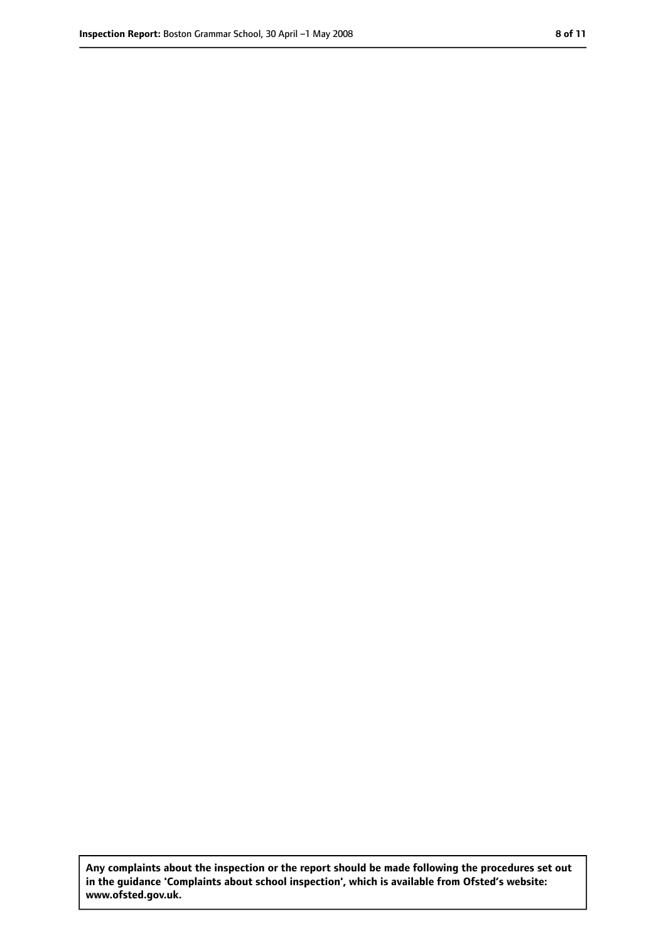**Any complaints about the inspection or the report should be made following the procedures set out in the guidance 'Complaints about school inspection', which is available from Ofsted's website: www.ofsted.gov.uk.**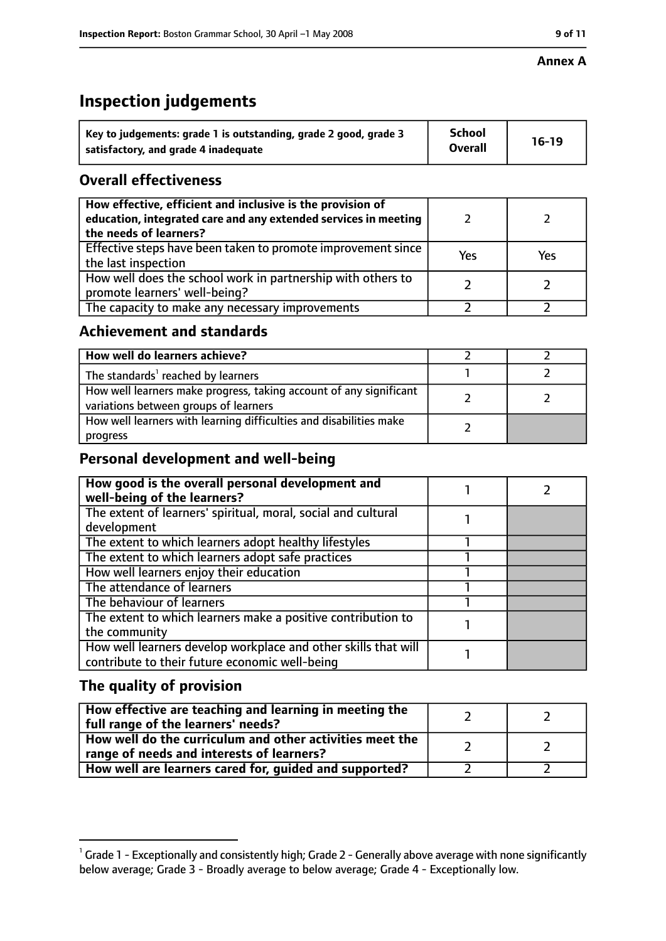#### **Annex A**

# **Inspection judgements**

| Key to judgements: grade 1 is outstanding, grade 2 good, grade 3 | <b>School</b>  | $16-19$ |
|------------------------------------------------------------------|----------------|---------|
| satisfactory, and grade 4 inadequate                             | <b>Overall</b> |         |

# **Overall effectiveness**

| How effective, efficient and inclusive is the provision of<br>education, integrated care and any extended services in meeting<br>the needs of learners? |     |     |
|---------------------------------------------------------------------------------------------------------------------------------------------------------|-----|-----|
| Effective steps have been taken to promote improvement since<br>the last inspection                                                                     | Yes | Yes |
| How well does the school work in partnership with others to<br>promote learners' well-being?                                                            |     |     |
| The capacity to make any necessary improvements                                                                                                         |     |     |

## **Achievement and standards**

| How well do learners achieve?                                                                               |  |
|-------------------------------------------------------------------------------------------------------------|--|
| The standards <sup>1</sup> reached by learners                                                              |  |
| How well learners make progress, taking account of any significant<br>variations between groups of learners |  |
| How well learners with learning difficulties and disabilities make<br>progress                              |  |

# **Personal development and well-being**

| How good is the overall personal development and<br>well-being of the learners? |  |
|---------------------------------------------------------------------------------|--|
| The extent of learners' spiritual, moral, social and cultural                   |  |
| development                                                                     |  |
| The extent to which learners adopt healthy lifestyles                           |  |
| The extent to which learners adopt safe practices                               |  |
| How well learners enjoy their education                                         |  |
| The attendance of learners                                                      |  |
| The behaviour of learners                                                       |  |
| The extent to which learners make a positive contribution to                    |  |
| the community                                                                   |  |
| How well learners develop workplace and other skills that will                  |  |
| contribute to their future economic well-being                                  |  |

# **The quality of provision**

| How effective are teaching and learning in meeting the<br>full range of the learners' needs?          |  |
|-------------------------------------------------------------------------------------------------------|--|
| How well do the curriculum and other activities meet the<br>range of needs and interests of learners? |  |
| How well are learners cared for, guided and supported?                                                |  |

 $^1$  Grade 1 - Exceptionally and consistently high; Grade 2 - Generally above average with none significantly below average; Grade 3 - Broadly average to below average; Grade 4 - Exceptionally low.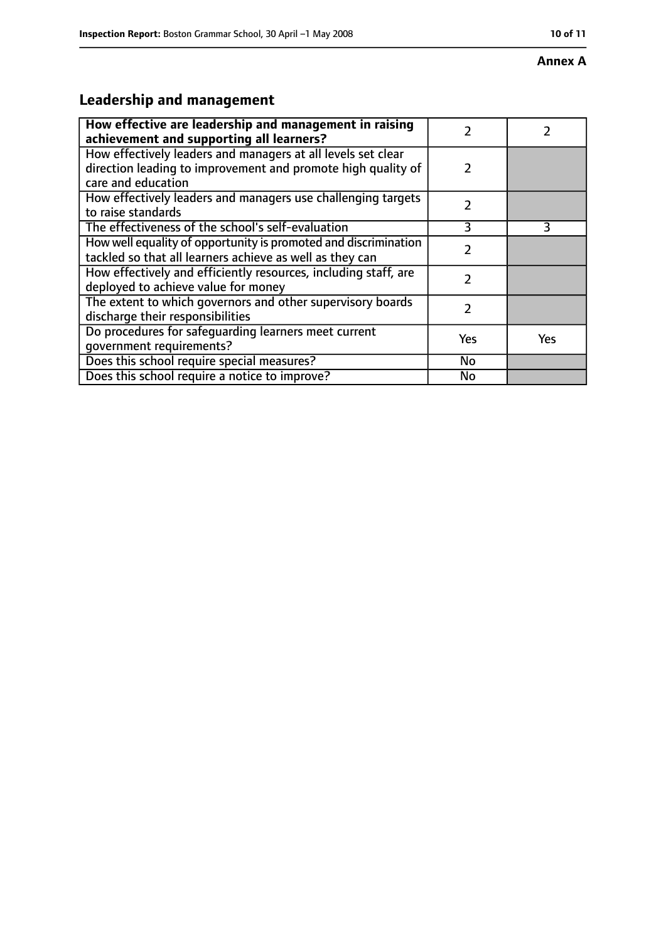#### **Annex A**

# **Leadership and management**

| How effective are leadership and management in raising<br>achievement and supporting all learners?                                                 | 7             |            |
|----------------------------------------------------------------------------------------------------------------------------------------------------|---------------|------------|
| How effectively leaders and managers at all levels set clear<br>direction leading to improvement and promote high quality of<br>care and education | $\mathcal{P}$ |            |
| How effectively leaders and managers use challenging targets<br>to raise standards                                                                 | $\mathcal{P}$ |            |
| The effectiveness of the school's self-evaluation                                                                                                  | 3             | 3          |
| How well equality of opportunity is promoted and discrimination<br>tackled so that all learners achieve as well as they can                        |               |            |
| How effectively and efficiently resources, including staff, are<br>deployed to achieve value for money                                             | 2             |            |
| The extent to which governors and other supervisory boards<br>discharge their responsibilities                                                     | 2             |            |
| Do procedures for safequarding learners meet current<br>qovernment requirements?                                                                   | Yes           | <b>Yes</b> |
| Does this school require special measures?                                                                                                         | No            |            |
| Does this school require a notice to improve?                                                                                                      | No            |            |